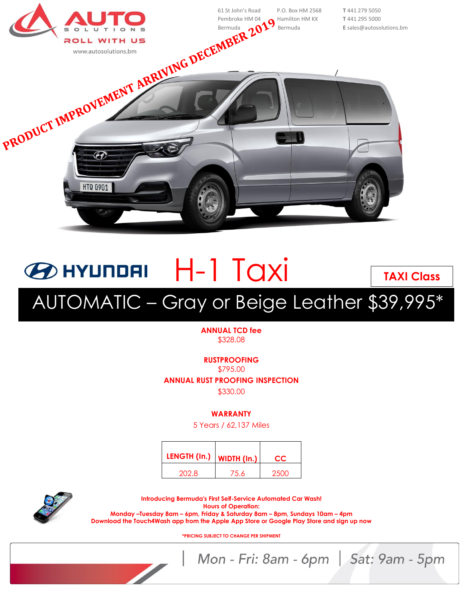

## **ED HYUNDAI** H-1 Taxi AUTOMATIC – Gray or Beige Leather \$39,995\* **TAXI Class**

## **ANNUAL TCD fee** \$328.08

**RUSTPROOFING**

\$795.00

**ANNUAL RUST PROOFING INSPECTION**

\$330.00

**WARRANTY**

5 Years / 62,137 Miles

| LENGTH (In.) | WIDTH (In.) | CC.  |
|--------------|-------------|------|
| 202.8        | 75.6        | 2500 |



**Introducing Bermuda's First Self-Service Automated Car Wash! Hours of Operation: Monday –Tuesday 8am – 6pm, Friday & Saturday 8am – 8pm, Sundays 10am – 4pm Download the Touch4Wash app from the Apple App Store or Google Play Store and sign up now**

**\*PRICING SUBJECT TO CHANGE PER SHIPMENT**

Mon - Fri: 8am - 6pm | Sat: 9am - 5pm